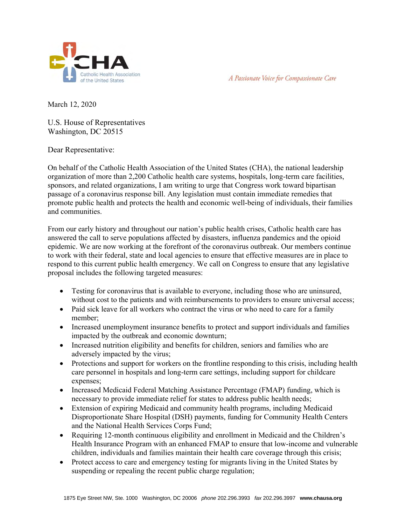



March 12, 2020

U.S. House of Representatives Washington, DC 20515

Dear Representative:

On behalf of the Catholic Health Association of the United States (CHA), the national leadership organization of more than 2,200 Catholic health care systems, hospitals, long-term care facilities, sponsors, and related organizations, I am writing to urge that Congress work toward bipartisan passage of a coronavirus response bill. Any legislation must contain immediate remedies that promote public health and protects the health and economic well-being of individuals, their families and communities.

From our early history and throughout our nation's public health crises, Catholic health care has answered the call to serve populations affected by disasters, influenza pandemics and the opioid epidemic. We are now working at the forefront of the coronavirus outbreak. Our members continue to work with their federal, state and local agencies to ensure that effective measures are in place to respond to this current public health emergency. We call on Congress to ensure that any legislative proposal includes the following targeted measures:

- Testing for coronavirus that is available to everyone, including those who are uninsured, without cost to the patients and with reimbursements to providers to ensure universal access;
- Paid sick leave for all workers who contract the virus or who need to care for a family member;
- Increased unemployment insurance benefits to protect and support individuals and families impacted by the outbreak and economic downturn;
- Increased nutrition eligibility and benefits for children, seniors and families who are adversely impacted by the virus;
- Protections and support for workers on the frontline responding to this crisis, including health care personnel in hospitals and long-term care settings, including support for childcare expenses;
- Increased Medicaid Federal Matching Assistance Percentage (FMAP) funding, which is necessary to provide immediate relief for states to address public health needs;
- Extension of expiring Medicaid and community health programs, including Medicaid Disproportionate Share Hospital (DSH) payments, funding for Community Health Centers and the National Health Services Corps Fund;
- Requiring 12-month continuous eligibility and enrollment in Medicaid and the Children's Health Insurance Program with an enhanced FMAP to ensure that low-income and vulnerable children, individuals and families maintain their health care coverage through this crisis;
- Protect access to care and emergency testing for migrants living in the United States by suspending or repealing the recent public charge regulation;